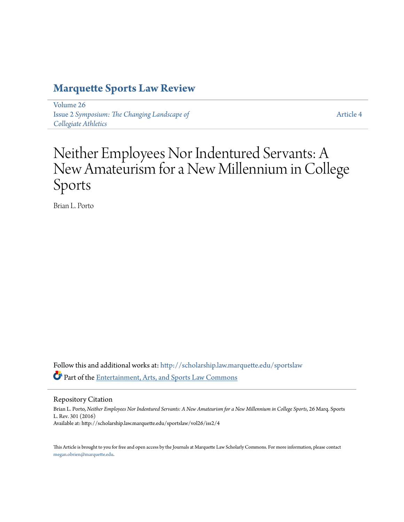# **[Marquette Sports Law Review](http://scholarship.law.marquette.edu/sportslaw?utm_source=scholarship.law.marquette.edu%2Fsportslaw%2Fvol26%2Fiss2%2F4&utm_medium=PDF&utm_campaign=PDFCoverPages)**

[Volume 26](http://scholarship.law.marquette.edu/sportslaw/vol26?utm_source=scholarship.law.marquette.edu%2Fsportslaw%2Fvol26%2Fiss2%2F4&utm_medium=PDF&utm_campaign=PDFCoverPages) Issue 2 *[Symposium: The Changing Landscape of](http://scholarship.law.marquette.edu/sportslaw/vol26/iss2?utm_source=scholarship.law.marquette.edu%2Fsportslaw%2Fvol26%2Fiss2%2F4&utm_medium=PDF&utm_campaign=PDFCoverPages) [Collegiate Athletics](http://scholarship.law.marquette.edu/sportslaw/vol26/iss2?utm_source=scholarship.law.marquette.edu%2Fsportslaw%2Fvol26%2Fiss2%2F4&utm_medium=PDF&utm_campaign=PDFCoverPages)*

[Article 4](http://scholarship.law.marquette.edu/sportslaw/vol26/iss2/4?utm_source=scholarship.law.marquette.edu%2Fsportslaw%2Fvol26%2Fiss2%2F4&utm_medium=PDF&utm_campaign=PDFCoverPages)

# Neither Employees Nor Indentured Servants: A New Amateurism for a New Millennium in College Sports

Brian L. Porto

Follow this and additional works at: [http://scholarship.law.marquette.edu/sportslaw](http://scholarship.law.marquette.edu/sportslaw?utm_source=scholarship.law.marquette.edu%2Fsportslaw%2Fvol26%2Fiss2%2F4&utm_medium=PDF&utm_campaign=PDFCoverPages) Part of the [Entertainment, Arts, and Sports Law Commons](http://network.bepress.com/hgg/discipline/893?utm_source=scholarship.law.marquette.edu%2Fsportslaw%2Fvol26%2Fiss2%2F4&utm_medium=PDF&utm_campaign=PDFCoverPages)

Repository Citation

Brian L. Porto, *Neither Employees Nor Indentured Servants: A New Amateurism for a New Millennium in College Sports*, 26 Marq. Sports L. Rev. 301 (2016) Available at: http://scholarship.law.marquette.edu/sportslaw/vol26/iss2/4

This Article is brought to you for free and open access by the Journals at Marquette Law Scholarly Commons. For more information, please contact [megan.obrien@marquette.edu.](mailto:megan.obrien@marquette.edu)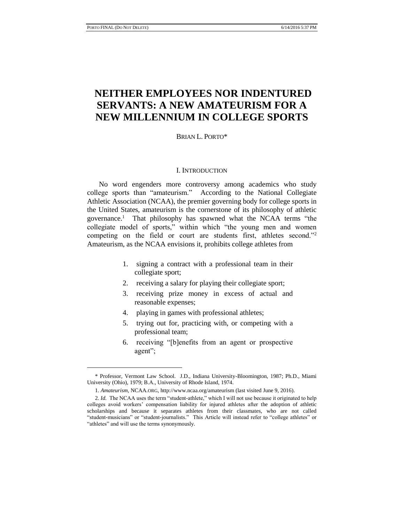# **NEITHER EMPLOYEES NOR INDENTURED SERVANTS: A NEW AMATEURISM FOR A NEW MILLENNIUM IN COLLEGE SPORTS**

BRIAN L. PORTO\*

#### I. INTRODUCTION

No word engenders more controversy among academics who study college sports than "amateurism." According to the National Collegiate Athletic Association (NCAA), the premier governing body for college sports in the United States, amateurism is the cornerstone of its philosophy of athletic governance.<sup>1</sup> That philosophy has spawned what the NCAA terms "the collegiate model of sports," within which "the young men and women competing on the field or court are students first, athletes second."<sup>2</sup> Amateurism, as the NCAA envisions it, prohibits college athletes from

- 1. signing a contract with a professional team in their collegiate sport;
- 2. receiving a salary for playing their collegiate sport;
- 3. receiving prize money in excess of actual and reasonable expenses;
- 4. playing in games with professional athletes;
- 5. trying out for, practicing with, or competing with a professional team;
- 6. receiving "[b]enefits from an agent or prospective agent";

<sup>\*</sup> Professor, Vermont Law School. J.D., Indiana University-Bloomington, 1987; Ph.D., Miami University (Ohio), 1979; B.A., University of Rhode Island, 1974.

<sup>1.</sup> *Amateurism*, NCAA.ORG, http://www.ncaa.org/amateurism (last visited June 9, 2016).

<sup>2.</sup> *Id.* The NCAA uses the term "student-athlete," which I will not use because it originated to help colleges avoid workers' compensation liability for injured athletes after the adoption of athletic scholarships and because it separates athletes from their classmates, who are not called "student-musicians" or "student-journalists." This Article will instead refer to "college athletes" or "athletes" and will use the terms synonymously.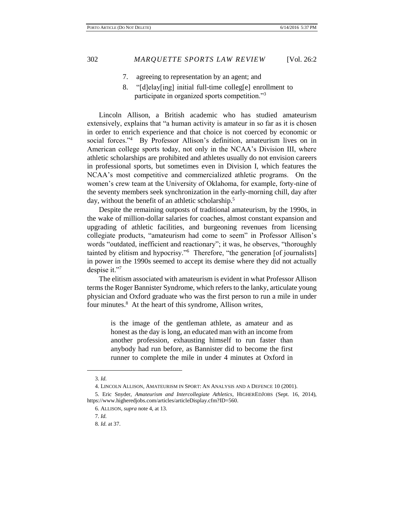- 7. agreeing to representation by an agent; and
- 8. "[d]elay[ing] initial full-time colleg[e] enrollment to participate in organized sports competition."<sup>3</sup>

Lincoln Allison, a British academic who has studied amateurism extensively, explains that "a human activity is amateur in so far as it is chosen in order to enrich experience and that choice is not coerced by economic or social forces."<sup>4</sup> By Professor Allison's definition, amateurism lives on in American college sports today, not only in the NCAA's Division III, where athletic scholarships are prohibited and athletes usually do not envision careers in professional sports, but sometimes even in Division I, which features the NCAA's most competitive and commercialized athletic programs. On the women's crew team at the University of Oklahoma, for example, forty-nine of the seventy members seek synchronization in the early-morning chill, day after day, without the benefit of an athletic scholarship.<sup>5</sup>

Despite the remaining outposts of traditional amateurism, by the 1990s, in the wake of million-dollar salaries for coaches, almost constant expansion and upgrading of athletic facilities, and burgeoning revenues from licensing collegiate products, "amateurism had come to seem" in Professor Allison's words "outdated, inefficient and reactionary"; it was, he observes, "thoroughly tainted by elitism and hypocrisy."<sup>6</sup> Therefore, "the generation [of journalists] in power in the 1990s seemed to accept its demise where they did not actually despise it."<sup>7</sup>

The elitism associated with amateurism is evident in what Professor Allison terms the Roger Bannister Syndrome, which refers to the lanky, articulate young physician and Oxford graduate who was the first person to run a mile in under four minutes.<sup>8</sup> At the heart of this syndrome, Allison writes,

is the image of the gentleman athlete, as amateur and as honest as the day is long, an educated man with an income from another profession, exhausting himself to run faster than anybody had run before, as Bannister did to become the first runner to complete the mile in under 4 minutes at Oxford in

<sup>3.</sup> *Id.*

<sup>4.</sup> LINCOLN ALLISON, AMATEURISM IN SPORT: AN ANALYSIS AND A DEFENCE 10 (2001).

<sup>5.</sup> Eric Snyder, *Amateurism and Intercollegiate Athletics*, HIGHEREDJOBS (Sept. 16, 2014), https://www.higheredjobs.com/articles/articleDisplay.cfm?ID=560.

<sup>6.</sup> ALLISON, *supra* note 4, at 13.

<sup>7.</sup> *Id.*

<sup>8.</sup> *Id.* at 37.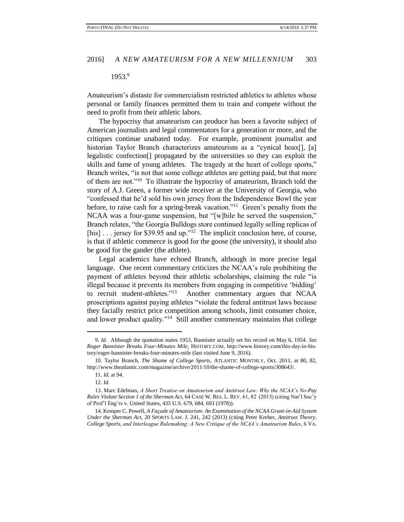# 1953.9

Amateurism's distaste for commercialism restricted athletics to athletes whose personal or family finances permitted them to train and compete without the need to profit from their athletic labors.

The hypocrisy that amateurism can produce has been a favorite subject of American journalists and legal commentators for a generation or more, and the critiques continue unabated today. For example, prominent journalist and historian Taylor Branch characterizes amateurism as a "cynical hoax[], [a] legalistic confection[] propagated by the universities so they can exploit the skills and fame of young athletes. The tragedy at the heart of college sports," Branch writes, "is not that some college athletes are getting paid, but that more of them are not."<sup>10</sup> To illustrate the hypocrisy of amateurism, Branch told the story of A.J. Green, a former wide receiver at the University of Georgia, who "confessed that he'd sold his own jersey from the Independence Bowl the year before, to raise cash for a spring-break vacation."<sup>11</sup> Green's penalty from the NCAA was a four-game suspension, but "[w]hile he served the suspension," Branch relates, "the Georgia Bulldogs store continued legally selling replicas of [his] . . . jersey for \$39.95 and up."<sup>12</sup> The implicit conclusion here, of course, is that if athletic commerce is good for the goose (the university), it should also be good for the gander (the athlete).

Legal academics have echoed Branch, although in more precise legal language. One recent commentary criticizes the NCAA's rule prohibiting the payment of athletes beyond their athletic scholarships, claiming the rule "is illegal because it prevents its members from engaging in competitive 'bidding' to recruit student-athletes."<sup>13</sup> Another commentary argues that NCAA proscriptions against paying athletes "violate the federal antitrust laws because they facially restrict price competition among schools, limit consumer choice, and lower product quality."<sup>14</sup> Still another commentary maintains that college

<sup>9.</sup> *Id.* Although the quotation states 1953, Bannister actually set his record on May 6, 1954. *See Roger Bannister Breaks Four-Minutes Mile*, HISTORY.COM, http://www.history.com/this-day-in-history/roger-bannister-breaks-four-minutes-mile (last visited June 9, 2016).

<sup>10.</sup> Taylor Branch, *The Shame of College Sports*, ATLANTIC MONTHLY, Oct. 2011, at 80, 82, http://www.theatlantic.com/magazine/archive/2011/10/the-shame-of-college-sports/308643/.

<sup>11.</sup> *Id.* at 94.

<sup>12.</sup> *Id.*

<sup>13.</sup> Marc Edelman, *A Short Treatise on Amateurism and Antitrust Law: Why the NCAA's No-Pay Rules Violate Section 1 of the Sherman Act*, 64 CASE W. RES. L. REV. 61, 82 (2013) (citing Nat'l Soc'y of Prof'l Eng'rs v. United States, 435 U.S. 679, 684, 693 (1978)).

<sup>14.</sup> Kemper C. Powell, *A Façade of Amateurism: An Examination of the NCAA Grant-in-Aid System Under the Sherman Act*, 20 SPORTS LAW. J. 241, 242 (2013) (citing Peter Kreher, *Antitrust Theory, College Sports, and Interleague Rulemaking: A New Critique of the NCAA's Amateurism Rules*, 6 VA.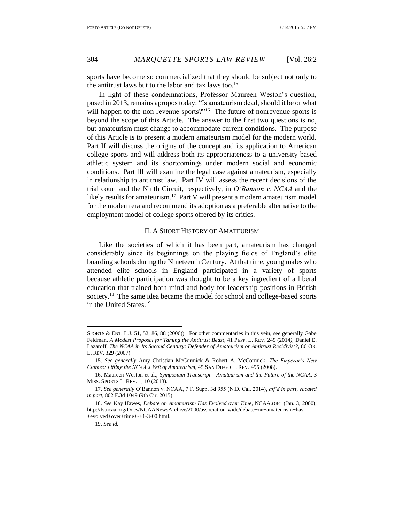sports have become so commercialized that they should be subject not only to the antitrust laws but to the labor and tax laws too.<sup>15</sup>

In light of these condemnations, Professor Maureen Weston's question, posed in 2013, remains apropos today: "Is amateurism dead, should it be or what will happen to the non-revenue sports?"<sup>16</sup> The future of nonrevenue sports is beyond the scope of this Article. The answer to the first two questions is no, but amateurism must change to accommodate current conditions. The purpose of this Article is to present a modern amateurism model for the modern world. Part II will discuss the origins of the concept and its application to American college sports and will address both its appropriateness to a university-based athletic system and its shortcomings under modern social and economic conditions. Part III will examine the legal case against amateurism, especially in relationship to antitrust law. Part IV will assess the recent decisions of the trial court and the Ninth Circuit, respectively, in *O'Bannon v. NCAA* and the likely results for amateurism.<sup>17</sup> Part V will present a modern amateurism model for the modern era and recommend its adoption as a preferable alternative to the employment model of college sports offered by its critics.

# II. A SHORT HISTORY OF AMATEURISM

Like the societies of which it has been part, amateurism has changed considerably since its beginnings on the playing fields of England's elite boarding schools during the Nineteenth Century. At that time, young males who attended elite schools in England participated in a variety of sports because athletic participation was thought to be a key ingredient of a liberal education that trained both mind and body for leadership positions in British society.<sup>18</sup> The same idea became the model for school and college-based sports in the United States.<sup>19</sup>

SPORTS & ENT. L.J. 51, 52, 86, 88 (2006)). For other commentaries in this vein, see generally Gabe Feldman, *A Modest Proposal for Taming the Antitrust Beast*, 41 PEPP. L. REV. 249 (2014*)*; Daniel E. Lazaroff, *The NCAA in Its Second Century: Defender of Amateurism or Antitrust Recidivist?*, 86 OR. L. REV. 329 (2007).

<sup>15.</sup> *See generally* Amy Christian McCormick & Robert A. McCormick, *The Emperor's New Clothes: Lifting the NCAA's Veil of Amateurism*, 45 SAN DIEGO L. REV. 495 (2008).

<sup>16.</sup> Maureen Weston et al., *Symposium Transcript - Amateurism and the Future of the NCAA*, 3 MISS. SPORTS L. REV. 1, 10 (2013).

<sup>17.</sup> *See generally* O'Bannon v. NCAA, 7 F. Supp. 3d 955 (N.D. Cal. 2014), *aff'd in part, vacated in part*, 802 F.3d 1049 (9th Cir. 2015).

<sup>18.</sup> *See* Kay Hawes, *Debate on Amateurism Has Evolved over Time*, NCAA.ORG (Jan. 3, 2000), http://fs.ncaa.org/Docs/NCAANewsArchive/2000/association-wide/debate+on+amateurism+has +evolved+over+time+-+1-3-00.html.

<sup>19.</sup> *See id.*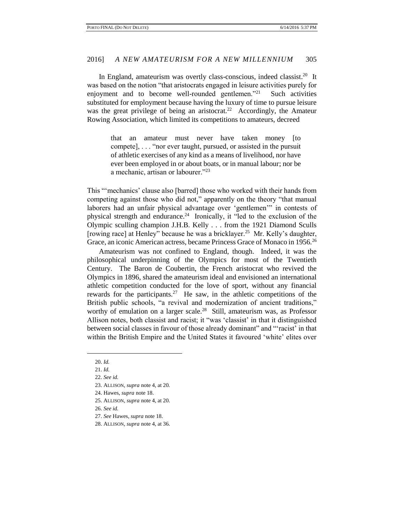## 2016] *A NEW AMATEURISM FOR A NEW MILLENNIUM* 305

In England, amateurism was overtly class-conscious, indeed classist.<sup>20</sup> It was based on the notion "that aristocrats engaged in leisure activities purely for enjoyment and to become well-rounded gentlemen."<sup>21</sup> Such activities substituted for employment because having the luxury of time to pursue leisure was the great privilege of being an aristocrat.<sup>22</sup> Accordingly, the Amateur Rowing Association, which limited its competitions to amateurs, decreed

> that an amateur must never have taken money [to compete], . . . "nor ever taught, pursued, or assisted in the pursuit of athletic exercises of any kind as a means of livelihood, nor have ever been employed in or about boats, or in manual labour; nor be a mechanic, artisan or labourer."<sup>23</sup>

This "'mechanics' clause also [barred] those who worked with their hands from competing against those who did not," apparently on the theory "that manual laborers had an unfair physical advantage over 'gentlemen'" in contests of physical strength and endurance.<sup>24</sup> Ironically, it "led to the exclusion of the Olympic sculling champion J.H.B. Kelly . . . from the 1921 Diamond Sculls [rowing race] at Henley" because he was a bricklayer.<sup>25</sup> Mr. Kelly's daughter, Grace, an iconic American actress, became Princess Grace of Monaco in 1956.<sup>26</sup>

Amateurism was not confined to England, though. Indeed, it was the philosophical underpinning of the Olympics for most of the Twentieth Century. The Baron de Coubertin, the French aristocrat who revived the Olympics in 1896, shared the amateurism ideal and envisioned an international athletic competition conducted for the love of sport, without any financial rewards for the participants.<sup>27</sup> He saw, in the athletic competitions of the British public schools, "a revival and modernization of ancient traditions," worthy of emulation on a larger scale.<sup>28</sup> Still, amateurism was, as Professor Allison notes, both classist and racist; it "was 'classist' in that it distinguished between social classes in favour of those already dominant" and "'racist' in that within the British Empire and the United States it favoured 'white' elites over

<sup>20.</sup> *Id.*

<sup>21.</sup> *Id.*

<sup>22.</sup> *See id.*

<sup>23.</sup> ALLISON, *supra* note 4, at 20*.*

<sup>24.</sup> Hawes, *supra* note 18.

<sup>25.</sup> ALLISON, *supra* note 4, at 20.

<sup>26.</sup> *See id.*

<sup>27.</sup> *See* Hawes, *supra* note 18.

<sup>28.</sup> ALLISON, *supra* note 4, at 36.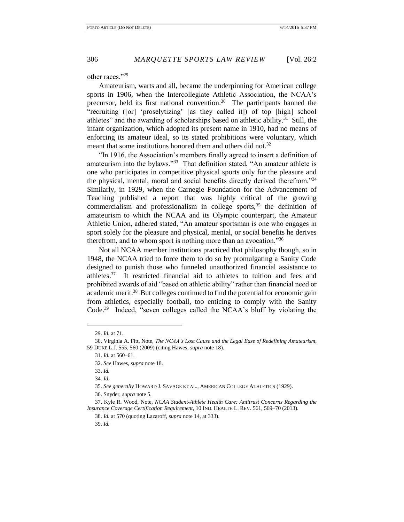other races."<sup>29</sup>

Amateurism, warts and all, became the underpinning for American college sports in 1906, when the Intercollegiate Athletic Association, the NCAA's precursor, held its first national convention.<sup>30</sup> The participants banned the "recruiting ([or] 'proselytizing' [as they called it]) of top [high] school athletes" and the awarding of scholarships based on athletic ability.<sup>31</sup> Still, the infant organization, which adopted its present name in 1910, had no means of enforcing its amateur ideal, so its stated prohibitions were voluntary, which meant that some institutions honored them and others did not.<sup>32</sup>

"In 1916, the Association's members finally agreed to insert a definition of amateurism into the bylaws."<sup>33</sup> That definition stated, "An amateur athlete is one who participates in competitive physical sports only for the pleasure and the physical, mental, moral and social benefits directly derived therefrom."<sup>34</sup> Similarly, in 1929, when the Carnegie Foundation for the Advancement of Teaching published a report that was highly critical of the growing commercialism and professionalism in college sports, $35$  the definition of amateurism to which the NCAA and its Olympic counterpart, the Amateur Athletic Union, adhered stated, "An amateur sportsman is one who engages in sport solely for the pleasure and physical, mental, or social benefits he derives therefrom, and to whom sport is nothing more than an avocation."<sup>36</sup>

Not all NCAA member institutions practiced that philosophy though, so in 1948, the NCAA tried to force them to do so by promulgating a Sanity Code designed to punish those who funneled unauthorized financial assistance to athletes.<sup>37</sup> It restricted financial aid to athletes to tuition and fees and prohibited awards of aid "based on athletic ability" rather than financial need or academic merit.<sup>38</sup> But colleges continued to find the potential for economic gain from athletics, especially football, too enticing to comply with the Sanity Code.<sup>39</sup> Indeed, "seven colleges called the NCAA's bluff by violating the

 $\overline{a}$ 

39. *Id.*

<sup>29.</sup> *Id.* at 71.

<sup>30.</sup> Virginia A. Fitt, Note, *The NCAA's Lost Cause and the Legal Ease of Redefining Amateurism*, 59 DUKE L.J. 555, 560 (2009) (citing Hawes, *supra* note 18).

<sup>31.</sup> *Id.* at 560–61.

<sup>32.</sup> *See* Hawes, *supra* note 18.

<sup>33.</sup> *Id.*

<sup>34.</sup> *Id.*

<sup>35.</sup> *See generally* HOWARD J. SAVAGE ET AL., AMERICAN COLLEGE ATHLETICS (1929).

<sup>36.</sup> Snyder, *supra* note 5.

<sup>37.</sup> Kyle R. Wood, Note, *NCAA Student-Athlete Health Care: Antitrust Concerns Regarding the Insurance Coverage Certification Requirement*, 10 IND. HEALTH L. REV. 561, 569–70 (2013).

<sup>38.</sup> *Id.* at 570 (quoting Lazaroff, *supra* note 14, at 333).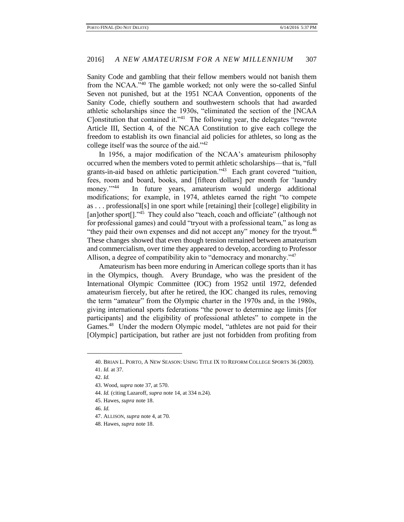Sanity Code and gambling that their fellow members would not banish them from the NCAA."<sup>40</sup> The gamble worked; not only were the so-called Sinful Seven not punished, but at the 1951 NCAA Convention, opponents of the Sanity Code, chiefly southern and southwestern schools that had awarded athletic scholarships since the 1930s, "eliminated the section of the [NCAA Clonstitution that contained it."<sup>41</sup> The following year, the delegates "rewrote Article III, Section 4, of the NCAA Constitution to give each college the freedom to establish its own financial aid policies for athletes, so long as the college itself was the source of the aid."<sup>42</sup>

In 1956, a major modification of the NCAA's amateurism philosophy occurred when the members voted to permit athletic scholarships—that is, "full grants-in-aid based on athletic participation."<sup>43</sup> Each grant covered "tuition, fees, room and board, books, and [fifteen dollars] per month for 'laundry money."<sup>144</sup> In future years, amateurism would undergo additional modifications; for example, in 1974, athletes earned the right "to compete as . . . professional[s] in one sport while [retaining] their [college] eligibility in [an]other sport<sup>[]</sup>.<sup>245</sup> They could also "teach, coach and officiate" (although not for professional games) and could "tryout with a professional team," as long as "they paid their own expenses and did not accept any" money for the tryout.<sup>46</sup> These changes showed that even though tension remained between amateurism and commercialism, over time they appeared to develop, according to Professor Allison, a degree of compatibility akin to "democracy and monarchy."<sup>47</sup>

Amateurism has been more enduring in American college sports than it has in the Olympics, though. Avery Brundage, who was the president of the International Olympic Committee (IOC) from 1952 until 1972, defended amateurism fiercely, but after he retired, the IOC changed its rules, removing the term "amateur" from the Olympic charter in the 1970s and, in the 1980s, giving international sports federations "the power to determine age limits [for participants] and the eligibility of professional athletes" to compete in the Games.<sup>48</sup> Under the modern Olympic model, "athletes are not paid for their [Olympic] participation, but rather are just not forbidden from profiting from

<sup>40.</sup> BRIAN L. PORTO, A NEW SEASON: USING TITLE IX TO REFORM COLLEGE SPORTS 36 (2003).

<sup>41.</sup> *Id.* at 37.

<sup>42.</sup> *Id.*

<sup>43.</sup> Wood, *supra* note 37, at 570.

<sup>44.</sup> *Id.* (citing Lazaroff, *supra* note 14, at 334 n.24).

<sup>45.</sup> Hawes, *supra* note 18.

<sup>46.</sup> *Id.*

<sup>47.</sup> ALLISON, *supra* note 4, at 70.

<sup>48.</sup> Hawes, *supra* note 18.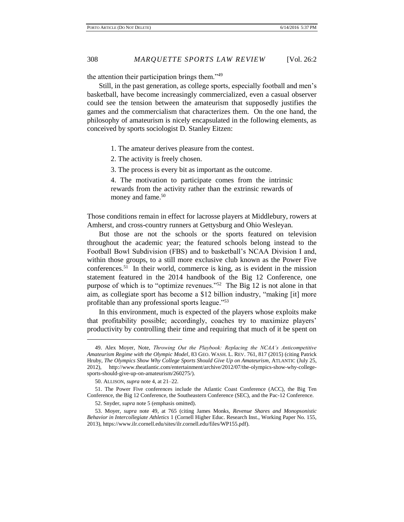the attention their participation brings them."<sup>49</sup>

Still, in the past generation, as college sports, especially football and men's basketball, have become increasingly commercialized, even a casual observer could see the tension between the amateurism that supposedly justifies the games and the commercialism that characterizes them. On the one hand, the philosophy of amateurism is nicely encapsulated in the following elements, as conceived by sports sociologist D. Stanley Eitzen:

1. The amateur derives pleasure from the contest.

2. The activity is freely chosen.

3. The process is every bit as important as the outcome.

4. The motivation to participate comes from the intrinsic rewards from the activity rather than the extrinsic rewards of money and fame.<sup>50</sup>

Those conditions remain in effect for lacrosse players at Middlebury, rowers at Amherst, and cross-country runners at Gettysburg and Ohio Wesleyan.

But those are not the schools or the sports featured on television throughout the academic year; the featured schools belong instead to the Football Bowl Subdivision (FBS) and to basketball's NCAA Division I and, within those groups, to a still more exclusive club known as the Power Five conferences.<sup>51</sup> In their world, commerce is king, as is evident in the mission statement featured in the 2014 handbook of the Big 12 Conference, one purpose of which is to "optimize revenues."<sup>52</sup> The Big 12 is not alone in that aim, as collegiate sport has become a \$12 billion industry, "making [it] more profitable than any professional sports league."<sup>53</sup>

In this environment, much is expected of the players whose exploits make that profitability possible; accordingly, coaches try to maximize players' productivity by controlling their time and requiring that much of it be spent on

<sup>49.</sup> Alex Moyer, Note, *Throwing Out the Playbook: Replacing the NCAA's Anticompetitive Amateurism Regime with the Olympic Model*, 83 GEO. WASH. L. REV. 761, 817 (2015) (citing Patrick Hruby, *The Olympics Show Why College Sports Should Give Up on Amateurism*, ATLANTIC (July 25, 2012), http://www.theatlantic.com/entertainment/archive/2012/07/the-olympics-show-why-collegesports-should-give-up-on-amateurism/260275/).

<sup>50.</sup> ALLISON, *supra* note 4, at 21–22.

<sup>51.</sup> The Power Five conferences include the Atlantic Coast Conference (ACC), the Big Ten Conference, the Big 12 Conference, the Southeastern Conference (SEC), and the Pac-12 Conference.

<sup>52.</sup> Snyder, *supra* note 5 (emphasis omitted).

<sup>53.</sup> Moyer, *supra* note 49, at 765 (citing James Monks, *Revenue Shares and Monopsonistic Behavior in Intercollegiate Athletics* 1 (Cornell Higher Educ. Research Inst., Working Paper No. 155, 2013), https://www.ilr.cornell.edu/sites/ilr.cornell.edu/files/WP155.pdf).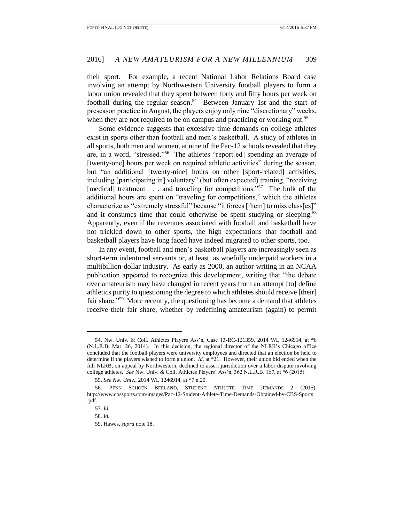their sport. For example, a recent National Labor Relations Board case involving an attempt by Northwestern University football players to form a labor union revealed that they spent between forty and fifty hours per week on football during the regular season.<sup>54</sup> Between January 1st and the start of preseason practice in August, the players enjoy only nine "discretionary" weeks, when they are not required to be on campus and practicing or working out.<sup>55</sup>

Some evidence suggests that excessive time demands on college athletes exist in sports other than football and men's basketball. A study of athletes in all sports, both men and women, at nine of the Pac-12 schools revealed that they are, in a word, "stressed."<sup>56</sup> The athletes "report[ed] spending an average of [twenty-one] hours per week on required athletic activities" during the season, but "an additional [twenty-nine] hours on other [sport-related] activities, including [participating in] voluntary" (but often expected) training, "receiving [medical] treatment . . . and traveling for competitions."<sup>57</sup> The bulk of the additional hours are spent on "traveling for competitions," which the athletes characterize as "extremely stressful" because "it forces [them] to miss class[es]" and it consumes time that could otherwise be spent studying or sleeping.<sup>58</sup> Apparently, even if the revenues associated with football and basketball have not trickled down to other sports, the high expectations that football and basketball players have long faced have indeed migrated to other sports, too.

In any event, football and men's basketball players are increasingly seen as short-term indentured servants or, at least, as woefully underpaid workers in a multibillion-dollar industry. As early as 2000, an author writing in an NCAA publication appeared to recognize this development, writing that "the debate over amateurism may have changed in recent years from an attempt [to] define athletics purity to questioning the degree to which athletes should receive [their] fair share."<sup>59</sup> More recently, the questioning has become a demand that athletes receive their fair share, whether by redefining amateurism (again) to permit

<sup>54.</sup> Nw. Univ. & Coll. Athletes Players Ass'n, Case 13-RC-121359, 2014 WL 1246914, at \*6 (N.L.R.B. Mar. 26, 2014). In this decision, the regional director of the NLRB's Chicago office concluded that the football players were university employees and directed that an election be held to determine if the players wished to form a union. *Id.* at \*21. However, their union bid ended when the full NLRB, on appeal by Northwestern, declined to assert jurisdiction over a labor dispute involving college athletes. *See* Nw. Univ. & Coll. Athletes Players' Ass'n, 362 N.L.R.B. 167, at \*6 (2015).

<sup>55.</sup> *See Nw. Univ.*, 2014 WL 1246914, at \*7 n.20.

<sup>56.</sup> PENN SCHOEN BERLAND, STUDENT ATHLETE TIME DEMANDS 2 (2015), http://www.cbssports.com/images/Pac-12-Student-Athlete-Time-Demands-Obtained-by-CBS-Sports .pdf.

<sup>57.</sup> *Id.*

<sup>58.</sup> *Id.*

<sup>59.</sup> Hawes*, supra* note 18.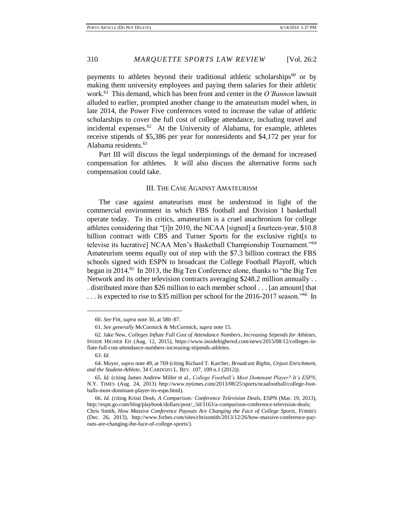payments to athletes beyond their traditional athletic scholarships<sup>60</sup> or by making them university employees and paying them salaries for their athletic work.<sup>61</sup> This demand, which has been front and center in the *O'Bannon* lawsuit alluded to earlier, prompted another change to the amateurism model when, in late 2014, the Power Five conferences voted to increase the value of athletic scholarships to cover the full cost of college attendance, including travel and incidental expenses. $62$  At the University of Alabama, for example, athletes receive stipends of \$5,386 per year for nonresidents and \$4,172 per year for Alabama residents.<sup>63</sup>

Part III will discuss the legal underpinnings of the demand for increased compensation for athletes. It will also discuss the alternative forms such compensation could take.

#### III. THE CASE AGAINST AMATEURISM

The case against amateurism must be understood in light of the commercial environment in which FBS football and Division I basketball operate today. To its critics, amateurism is a cruel anachronism for college athletes considering that "[i]n 2010, the NCAA [signed] a fourteen-year, \$10.8 billion contract with CBS and Turner Sports for the exclusive right[s to televise its lucrative] NCAA Men's Basketball Championship Tournament."<sup>64</sup> Amateurism seems equally out of step with the \$7.3 billion contract the FBS schools signed with ESPN to broadcast the College Football Playoff, which began in 2014.<sup>65</sup> In 2013, the Big Ten Conference alone, thanks to "the Big Ten Network and its other television contracts averaging \$248.2 million annually . . . distributed more than \$26 million to each member school . . . [an amount] that ... is expected to rise to \$35 million per school for the 2016-2017 season."<sup>66</sup> In

<sup>60.</sup> *See* Fitt, *supra* note 30, at 580–87.

<sup>61.</sup> *See generally* McCormick & McCormick, *supra* note 15.

<sup>62.</sup> Jake New, *Colleges Inflate Full Cost of Attendance Numbers, Increasing Stipends for Athletes*, INSIDE HIGHER ED (Aug. 12, 2015), https://www.insidehighered.com/news/2015/08/12/colleges-inflate-full-cost-attendance-numbers-increasing-stipends-athletes.

<sup>63.</sup> *Id.*

<sup>64.</sup> Moyer, *supra* note 49, at 769 (citing Richard T. Karcher, *Broadcast Rights, Unjust Enrichment, and the Student-Athlete*, 34 CARDOZO L. REV. 107, 109 n.1 (2012)).

<sup>65.</sup> *Id.* (citing James Andrew Miller et al., *College Football's Most Dominant Player? It's ESPN*, N.Y. TIMES (Aug. 24, 2013) http://www.nytimes.com/2013/08/25/sports/ncaafootball/college-footballs-most-dominant-player-its-espn.html).

<sup>66.</sup> *Id.* (citing Kristi Dosh, *A Comparison: Conference Television Deals*, ESPN (Mar. 19, 2013), http://espn.go.com/blog/playbook/dollars/post/\_/id/3163/a-comparison-conference-television-deals; Chris Smith, *How Massive Conference Payouts Are Changing the Face of College Sports*, FORBES (Dec. 26, 2013), http://www.forbes.com/sites/chrissmith/2013/12/26/how-massive-conference-payouts-are-changing-the-face-of-college-sports/).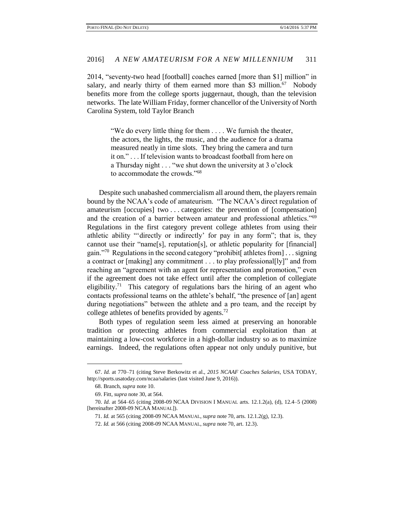2014, "seventy-two head [football] coaches earned [more than \$1] million" in salary, and nearly thirty of them earned more than \$3 million.<sup>67</sup> Nobody benefits more from the college sports juggernaut, though, than the television networks. The late William Friday, former chancellor of the University of North Carolina System, told Taylor Branch

> "We do every little thing for them . . . . We furnish the theater, the actors, the lights, the music, and the audience for a drama measured neatly in time slots. They bring the camera and turn it on." . . . If television wants to broadcast football from here on a Thursday night . . . "we shut down the university at 3 o'clock to accommodate the crowds."<sup>68</sup>

Despite such unabashed commercialism all around them, the players remain bound by the NCAA's code of amateurism. "The NCAA's direct regulation of amateurism [occupies] two . . . categories: the prevention of [compensation] and the creation of a barrier between amateur and professional athletics."<sup>69</sup> Regulations in the first category prevent college athletes from using their athletic ability "'directly or indirectly' for pay in any form"; that is, they cannot use their "name[s], reputation[s], or athletic popularity for [financial] gain."<sup>70</sup> Regulations in the second category "prohibit[ athletes from] . . . signing a contract or [making] any commitment . . . to play professional[ly]" and from reaching an "agreement with an agent for representation and promotion," even if the agreement does not take effect until after the completion of collegiate eligibility.<sup>71</sup> This category of regulations bars the hiring of an agent who contacts professional teams on the athlete's behalf, "the presence of [an] agent during negotiations" between the athlete and a pro team, and the receipt by college athletes of benefits provided by agents.<sup>72</sup>

Both types of regulation seem less aimed at preserving an honorable tradition or protecting athletes from commercial exploitation than at maintaining a low-cost workforce in a high-dollar industry so as to maximize earnings. Indeed, the regulations often appear not only unduly punitive, but

<sup>67.</sup> *Id.* at 770–71 (citing Steve Berkowitz et al., *2015 NCAAF Coaches Salaries*, USA TODAY, http://sports.usatoday.com/ncaa/salaries (last visited June 9, 2016)).

<sup>68.</sup> Branch, *supra* note 10.

<sup>69.</sup> Fitt, *supra* note 30, at 564.

<sup>70.</sup> *Id.* at 564–65 (citing 2008-09 NCAA DIVISION I MANUAL arts. 12.1.2(a), (d), 12.4–5 (2008) [hereinafter 2008-09 NCAA MANUAL]).

<sup>71.</sup> *Id.* at 565 (citing 2008-09 NCAA MANUAL, *supra* note 70, arts. 12.1.2(g), 12.3).

<sup>72.</sup> *Id.* at 566 (citing 2008-09 NCAA MANUAL, *supra* note 70, art. 12.3).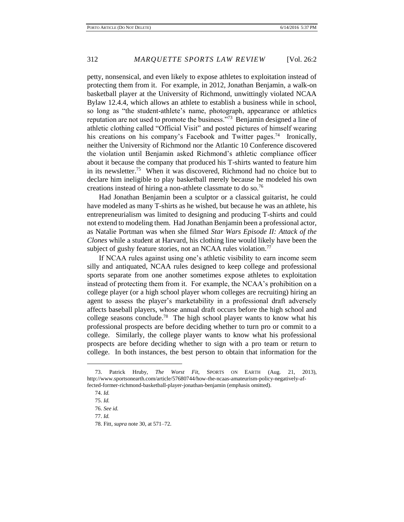petty, nonsensical, and even likely to expose athletes to exploitation instead of protecting them from it. For example, in 2012, Jonathan Benjamin, a walk-on basketball player at the University of Richmond, unwittingly violated NCAA Bylaw 12.4.4, which allows an athlete to establish a business while in school, so long as "the student-athlete's name, photograph, appearance or athletics reputation are not used to promote the business."<sup>73</sup> Benjamin designed a line of athletic clothing called "Official Visit" and posted pictures of himself wearing his creations on his company's Facebook and Twitter pages.<sup>74</sup> Ironically, neither the University of Richmond nor the Atlantic 10 Conference discovered the violation until Benjamin asked Richmond's athletic compliance officer about it because the company that produced his T-shirts wanted to feature him in its newsletter.<sup>75</sup> When it was discovered, Richmond had no choice but to declare him ineligible to play basketball merely because he modeled his own creations instead of hiring a non-athlete classmate to do so.<sup>76</sup>

Had Jonathan Benjamin been a sculptor or a classical guitarist, he could have modeled as many T-shirts as he wished, but because he was an athlete, his entrepreneurialism was limited to designing and producing T-shirts and could not extend to modeling them. Had Jonathan Benjamin been a professional actor, as Natalie Portman was when she filmed *Star Wars Episode II: Attack of the Clones* while a student at Harvard, his clothing line would likely have been the subject of gushy feature stories, not an NCAA rules violation.<sup>77</sup>

If NCAA rules against using one's athletic visibility to earn income seem silly and antiquated, NCAA rules designed to keep college and professional sports separate from one another sometimes expose athletes to exploitation instead of protecting them from it. For example, the NCAA's prohibition on a college player (or a high school player whom colleges are recruiting) hiring an agent to assess the player's marketability in a professional draft adversely affects baseball players, whose annual draft occurs before the high school and college seasons conclude.<sup>78</sup> The high school player wants to know what his professional prospects are before deciding whether to turn pro or commit to a college. Similarly, the college player wants to know what his professional prospects are before deciding whether to sign with a pro team or return to college. In both instances, the best person to obtain that information for the

<sup>73.</sup> Patrick Hruby, *The Worst Fit*, SPORTS ON EARTH (Aug. 21, 2013), http://www.sportsonearth.com/article/57680744/how-the-ncaas-amateurism-policy-negatively-affected-former-richmond-basketball-player-jonathan-benjamin (emphasis omitted).

<sup>74.</sup> *Id.*

<sup>75.</sup> *Id.*

<sup>76.</sup> *See id.*

<sup>77.</sup> *Id.*

<sup>78.</sup> Fitt, *supra* note 30, at 571–72.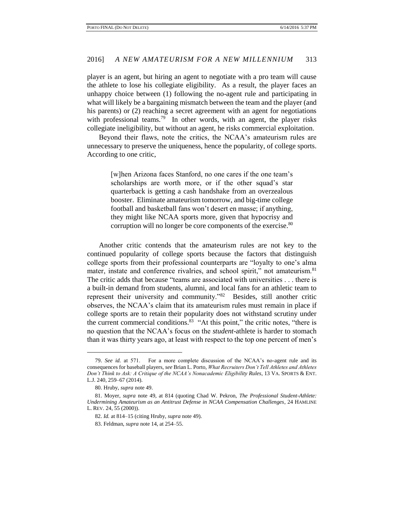player is an agent, but hiring an agent to negotiate with a pro team will cause the athlete to lose his collegiate eligibility. As a result, the player faces an unhappy choice between (1) following the no-agent rule and participating in what will likely be a bargaining mismatch between the team and the player (and his parents) or (2) reaching a secret agreement with an agent for negotiations with professional teams.<sup>79</sup> In other words, with an agent, the player risks collegiate ineligibility, but without an agent, he risks commercial exploitation.

Beyond their flaws, note the critics, the NCAA's amateurism rules are unnecessary to preserve the uniqueness, hence the popularity, of college sports. According to one critic,

> [w]hen Arizona faces Stanford, no one cares if the one team's scholarships are worth more, or if the other squad's star quarterback is getting a cash handshake from an overzealous booster. Eliminate amateurism tomorrow, and big-time college football and basketball fans won't desert en masse; if anything, they might like NCAA sports more, given that hypocrisy and corruption will no longer be core components of the exercise.<sup>80</sup>

Another critic contends that the amateurism rules are not key to the continued popularity of college sports because the factors that distinguish college sports from their professional counterparts are "loyalty to one's alma mater, instate and conference rivalries, and school spirit," not amateurism.<sup>81</sup> The critic adds that because "teams are associated with universities . . . there is a built-in demand from students, alumni, and local fans for an athletic team to represent their university and community."<sup>82</sup> Besides, still another critic observes, the NCAA's claim that its amateurism rules must remain in place if college sports are to retain their popularity does not withstand scrutiny under the current commercial conditions.<sup>83</sup> "At this point," the critic notes, "there is no question that the NCAA's focus on the *student*-athlete is harder to stomach than it was thirty years ago, at least with respect to the top one percent of men's

<sup>79.</sup> *See id.* at 571. For a more complete discussion of the NCAA's no-agent rule and its consequences for baseball players, *see* Brian L. Porto, *What Recruiters Don't Tell Athletes and Athletes Don't Think to Ask: A Critique of the NCAA's Nonacademic Eligibility Rules*, 13 VA. SPORTS & ENT. L.J. 240, 259–67 (2014).

<sup>80.</sup> Hruby, *supra* note 49.

<sup>81.</sup> Moyer, *supra* note 49, at 814 (quoting Chad W. Pekron, *The Professional Student-Athlete: Undermining Amateurism as an Antitrust Defense in NCAA Compensation Challenges*, 24 HAMLINE L. REV. 24, 55 (2000)).

<sup>82.</sup> *Id.* at 814–15 (citing Hruby, *supra* note 49).

<sup>83.</sup> Feldman, *supra* note 14, at 254–55.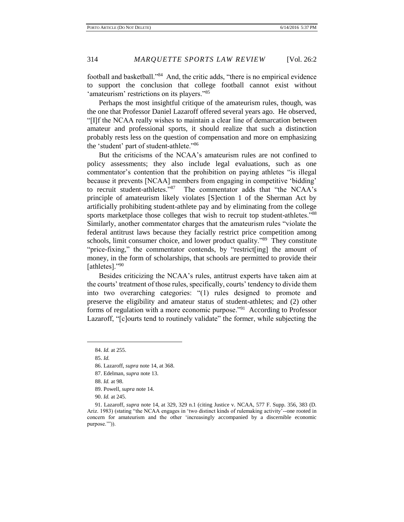football and basketball."<sup>84</sup> And, the critic adds, "there is no empirical evidence to support the conclusion that college football cannot exist without 'amateurism' restrictions on its players."85

Perhaps the most insightful critique of the amateurism rules, though, was the one that Professor Daniel Lazaroff offered several years ago. He observed, "[I]f the NCAA really wishes to maintain a clear line of demarcation between amateur and professional sports, it should realize that such a distinction probably rests less on the question of compensation and more on emphasizing the 'student' part of student-athlete."<sup>86</sup>

But the criticisms of the NCAA's amateurism rules are not confined to policy assessments; they also include legal evaluations, such as one commentator's contention that the prohibition on paying athletes "is illegal because it prevents [NCAA] members from engaging in competitive 'bidding' to recruit student-athletes."<sup>87</sup> The commentator adds that "the NCAA's principle of amateurism likely violates [S]ection 1 of the Sherman Act by artificially prohibiting student-athlete pay and by eliminating from the college sports marketplace those colleges that wish to recruit top student-athletes."88 Similarly, another commentator charges that the amateurism rules "violate the federal antitrust laws because they facially restrict price competition among schools, limit consumer choice, and lower product quality."<sup>89</sup> They constitute "price-fixing," the commentator contends, by "restrict[ing] the amount of money, in the form of scholarships, that schools are permitted to provide their [athletes]."<sup>90</sup>

Besides criticizing the NCAA's rules, antitrust experts have taken aim at the courts' treatment of those rules, specifically, courts' tendency to divide them into two overarching categories: "(1) rules designed to promote and preserve the eligibility and amateur status of student-athletes; and (2) other forms of regulation with a more economic purpose."<sup>91</sup> According to Professor Lazaroff, "[c]ourts tend to routinely validate" the former, while subjecting the

 $\overline{a}$ 

89. Powell, *supra* note 14.

<sup>84.</sup> *Id.* at 255.

<sup>85.</sup> *Id.*

<sup>86.</sup> Lazaroff, *supra* note 14, at 368.

<sup>87.</sup> Edelman, *supra* note 13.

<sup>88.</sup> *Id.* at 98.

<sup>90.</sup> *Id.* at 245.

<sup>91.</sup> Lazaroff, *supra* note 14, at 329, 329 n.1 (citing Justice v. NCAA, 577 F. Supp. 356, 383 (D. Ariz. 1983) (stating "the NCAA engages in 'two distinct kinds of rulemaking activity'--one rooted in concern for amateurism and the other 'increasingly accompanied by a discernible economic purpose."")).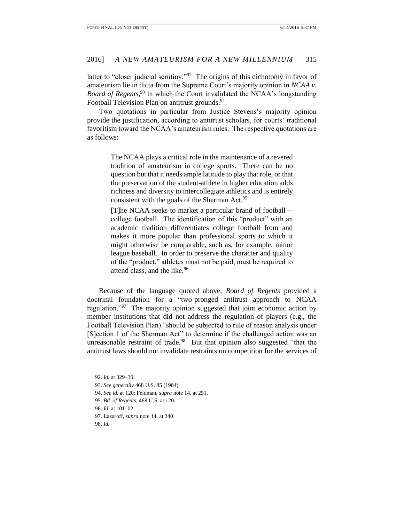latter to "closer judicial scrutiny."<sup>92</sup> The origins of this dichotomy in favor of amateurism lie in dicta from the Supreme Court's majority opinion in *NCAA v. Board of Regents*, <sup>93</sup> in which the Court invalidated the NCAA's longstanding Football Television Plan on antitrust grounds.<sup>94</sup>

Two quotations in particular from Justice Stevens's majority opinion provide the justification, according to antitrust scholars, for courts' traditional favoritism toward the NCAA's amateurism rules. The respective quotations are as follows:

> The NCAA plays a critical role in the maintenance of a revered tradition of amateurism in college sports. There can be no question but that it needs ample latitude to play that role, or that the preservation of the student-athlete in higher education adds richness and diversity to intercollegiate athletics and is entirely consistent with the goals of the Sherman Act.<sup>95</sup>

> [T]he NCAA seeks to market a particular brand of football college football. The identification of this "product" with an academic tradition differentiates college football from and makes it more popular than professional sports to which it might otherwise be comparable, such as, for example, minor league baseball. In order to preserve the character and quality of the "product," athletes must not be paid, must be required to attend class, and the like.<sup>96</sup>

Because of the language quoted above, *Board of Regents* provided a doctrinal foundation for a "two-pronged antitrust approach to NCAA regulation."<sup>97</sup> The majority opinion suggested that joint economic action by member institutions that did not address the regulation of players (e.g., the Football Television Plan) "should be subjected to rule of reason analysis under [S]ection 1 of the Sherman Act" to determine if the challenged action was an unreasonable restraint of trade. $98$  But that opinion also suggested "that the antitrust laws should not invalidate restraints on competition for the services of

<sup>92.</sup> *Id.* at 329–30.

<sup>93.</sup> *See generally* 468 U.S. 85 (1984).

<sup>94.</sup> *See id.* at 120; Feldman, *supra* note 14, at 251.

<sup>95.</sup> *Bd. of Regents*, 468 U.S. at 120.

<sup>96.</sup> *Id.* at 101–02.

<sup>97.</sup> Lazaroff, *supra* note 14, at 340.

<sup>98.</sup> *Id.*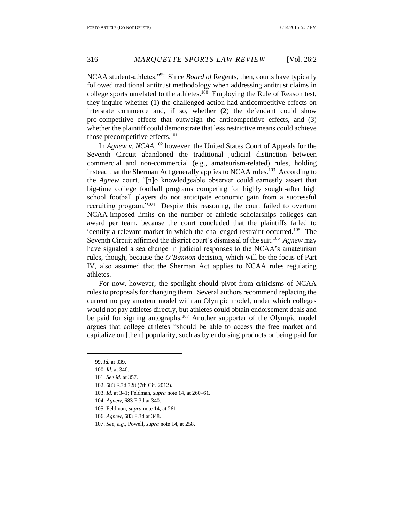NCAA student-athletes."<sup>99</sup> Since *Board of* Regents, then, courts have typically followed traditional antitrust methodology when addressing antitrust claims in college sports unrelated to the athletes.<sup>100</sup> Employing the Rule of Reason test, they inquire whether (1) the challenged action had anticompetitive effects on interstate commerce and, if so, whether (2) the defendant could show pro-competitive effects that outweigh the anticompetitive effects, and (3) whether the plaintiff could demonstrate that less restrictive means could achieve those precompetitive effects. $101$ 

In *Agnew v. NCAA*, <sup>102</sup> however, the United States Court of Appeals for the Seventh Circuit abandoned the traditional judicial distinction between commercial and non-commercial (e.g., amateurism-related) rules, holding instead that the Sherman Act generally applies to NCAA rules.<sup>103</sup> According to the *Agnew* court, "[n]o knowledgeable observer could earnestly assert that big-time college football programs competing for highly sought-after high school football players do not anticipate economic gain from a successful recruiting program."<sup>104</sup> Despite this reasoning, the court failed to overturn NCAA-imposed limits on the number of athletic scholarships colleges can award per team, because the court concluded that the plaintiffs failed to identify a relevant market in which the challenged restraint occurred.<sup>105</sup> The Seventh Circuit affirmed the district court's dismissal of the suit.<sup>106</sup> Agnew may have signaled a sea change in judicial responses to the NCAA's amateurism rules, though, because the *O'Bannon* decision, which will be the focus of Part IV, also assumed that the Sherman Act applies to NCAA rules regulating athletes.

For now, however, the spotlight should pivot from criticisms of NCAA rules to proposals for changing them. Several authors recommend replacing the current no pay amateur model with an Olympic model, under which colleges would not pay athletes directly, but athletes could obtain endorsement deals and be paid for signing autographs.<sup>107</sup> Another supporter of the Olympic model argues that college athletes "should be able to access the free market and capitalize on [their] popularity, such as by endorsing products or being paid for

- 103. *Id.* at 341; Feldman, *supra* note 14, at 260–61.
- 104. *Agnew*, 683 F.3d at 340.
- 105. Feldman, *supra* note 14, at 261.
- 106. *Agnew*, 683 F.3d at 348.
- 107. *See, e.g.*, Powell, *supra* note 14, at 258.

<sup>99.</sup> *Id.* at 339.

<sup>100.</sup> *Id.* at 340.

<sup>101.</sup> *See id.* at 357.

<sup>102.</sup> 683 F.3d 328 (7th Cir. 2012).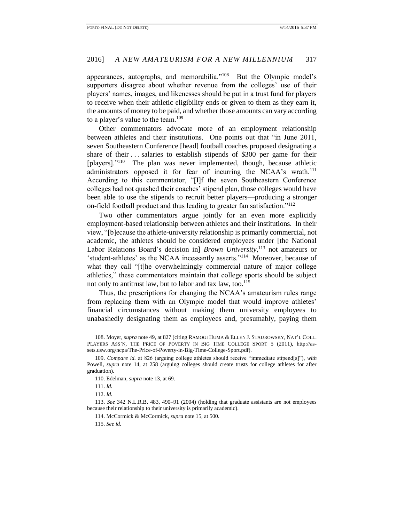appearances, autographs, and memorabilia."<sup>108</sup> But the Olympic model's supporters disagree about whether revenue from the colleges' use of their players' names, images, and likenesses should be put in a trust fund for players to receive when their athletic eligibility ends or given to them as they earn it, the amounts of money to be paid, and whether those amounts can vary according to a player's value to the team.<sup>109</sup>

Other commentators advocate more of an employment relationship between athletes and their institutions. One points out that "in June 2011, seven Southeastern Conference [head] football coaches proposed designating a share of their . . . salaries to establish stipends of \$300 per game for their [players]."<sup>110</sup> The plan was never implemented, though, because athletic administrators opposed it for fear of incurring the NCAA's wrath.<sup>111</sup> According to this commentator, "[I]f the seven Southeastern Conference colleges had not quashed their coaches' stipend plan, those colleges would have been able to use the stipends to recruit better players—producing a stronger on-field football product and thus leading to greater fan satisfaction."<sup>112</sup>

Two other commentators argue jointly for an even more explicitly employment-based relationship between athletes and their institutions. In their view, "[b]ecause the athlete-university relationship is primarily commercial, not academic, the athletes should be considered employees under [the National Labor Relations Board's decision in] *Brown University*, <sup>113</sup> not amateurs or 'student-athletes' as the NCAA incessantly asserts."<sup>114</sup> Moreover, because of what they call "[t]he overwhelmingly commercial nature of major college athletics," these commentators maintain that college sports should be subject not only to antitrust law, but to labor and tax law, too.<sup>115</sup>

Thus, the prescriptions for changing the NCAA's amateurism rules range from replacing them with an Olympic model that would improve athletes' financial circumstances without making them university employees to unabashedly designating them as employees and, presumably, paying them

 $\overline{a}$ 

112. *Id.*

<sup>108.</sup> Moyer, *supra* note 49, at 827 (citing RAMOGI HUMA & ELLEN J. STAUROWSKY, NAT'L COLL. PLAYERS ASS'N, THE PRICE OF POVERTY IN BIG TIME COLLEGE SPORT 5 (2011), http://assets.usw.org/ncpa/The-Price-of-Poverty-in-Big-Time-College-Sport.pdf).

<sup>109.</sup> *Compare id.* at 826 (arguing college athletes should receive "immediate stipend[s]"), *with*  Powell, *supra* note 14, at 258 (arguing colleges should create trusts for college athletes for after graduation).

<sup>110.</sup> Edelman, *supra* note 13, at 69.

<sup>111.</sup> *Id.*

<sup>113.</sup> *See* 342 N.L.R.B. 483, 490–91 (2004) (holding that graduate assistants are not employees because their relationship to their university is primarily academic).

<sup>114.</sup> McCormick & McCormick, *supra* note 15, at 500.

<sup>115.</sup> *See id.*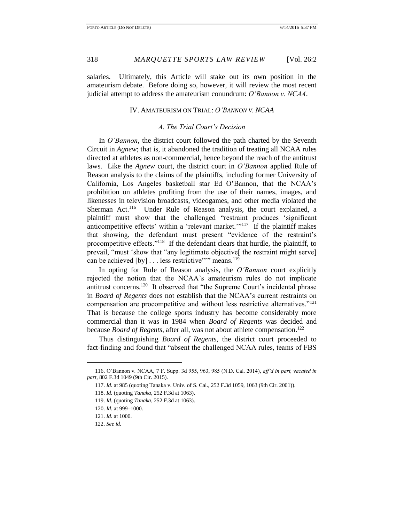salaries. Ultimately, this Article will stake out its own position in the amateurism debate. Before doing so, however, it will review the most recent judicial attempt to address the amateurism conundrum: *O'Bannon v. NCAA*.

# IV. AMATEURISM ON TRIAL: *O'BANNON V. NCAA*

# *A. The Trial Court's Decision*

In *O'Bannon*, the district court followed the path charted by the Seventh Circuit in *Agnew*; that is, it abandoned the tradition of treating all NCAA rules directed at athletes as non-commercial, hence beyond the reach of the antitrust laws. Like the *Agnew* court, the district court in *O'Bannon* applied Rule of Reason analysis to the claims of the plaintiffs, including former University of California, Los Angeles basketball star Ed O'Bannon, that the NCAA's prohibition on athletes profiting from the use of their names, images, and likenesses in television broadcasts, videogames, and other media violated the Sherman Act.<sup>116</sup> Under Rule of Reason analysis, the court explained, a plaintiff must show that the challenged "restraint produces 'significant anticompetitive effects' within a 'relevant market.'"<sup>117</sup> If the plaintiff makes that showing, the defendant must present "evidence of the restraint's procompetitive effects."<sup>118</sup> If the defendant clears that hurdle, the plaintiff, to prevail, "must 'show that "any legitimate objective[ the restraint might serve] can be achieved [by] . . . less restrictive"" means.<sup>119</sup>

In opting for Rule of Reason analysis, the *O'Bannon* court explicitly rejected the notion that the NCAA's amateurism rules do not implicate antitrust concerns.<sup>120</sup> It observed that "the Supreme Court's incidental phrase in *Board of Regents* does not establish that the NCAA's current restraints on compensation are procompetitive and without less restrictive alternatives."<sup>121</sup> That is because the college sports industry has become considerably more commercial than it was in 1984 when *Board of Regents* was decided and because *Board of Regents*, after all, was not about athlete compensation.<sup>122</sup>

Thus distinguishing *Board of Regents*, the district court proceeded to fact-finding and found that "absent the challenged NCAA rules, teams of FBS

<sup>116.</sup> O'Bannon v. NCAA, 7 F. Supp. 3d 955, 963, 985 (N.D. Cal. 2014), *aff'd in part, vacated in part*, 802 F.3d 1049 (9th Cir. 2015).

<sup>117.</sup> *Id.* at 985 (quoting Tanaka v. Univ. of S. Cal., 252 F.3d 1059, 1063 (9th Cir. 2001)).

<sup>118.</sup> *Id.* (quoting *Tanaka*, 252 F.3d at 1063).

<sup>119.</sup> *Id.* (quoting *Tanaka*, 252 F.3d at 1063).

<sup>120.</sup> *Id.* at 999–1000.

<sup>121.</sup> *Id.* at 1000.

<sup>122.</sup> *See id.*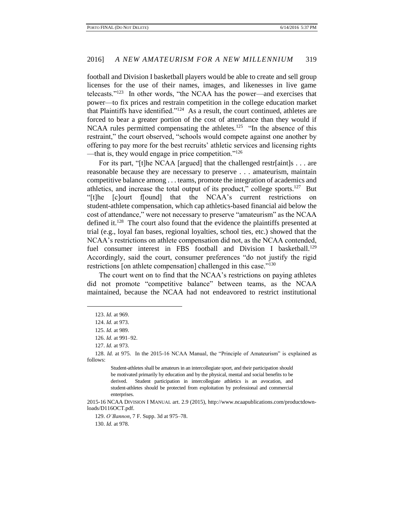football and Division I basketball players would be able to create and sell group licenses for the use of their names, images, and likenesses in live game telecasts."<sup>123</sup> In other words, "the NCAA has the power—and exercises that power—to fix prices and restrain competition in the college education market that Plaintiffs have identified."<sup>124</sup> As a result, the court continued, athletes are forced to bear a greater portion of the cost of attendance than they would if NCAA rules permitted compensating the athletes.<sup>125</sup> "In the absence of this restraint," the court observed, "schools would compete against one another by offering to pay more for the best recruits' athletic services and licensing rights —that is, they would engage in price competition."<sup>126</sup>

For its part, "[t]he NCAA [argued] that the challenged restr[aint]s . . . are reasonable because they are necessary to preserve . . . amateurism, maintain competitive balance among . . . teams, promote the integration of academics and athletics, and increase the total output of its product," college sports. $127$  But "[t]he [c]ourt f[ound] that the NCAA's current restrictions on student-athlete compensation, which cap athletics-based financial aid below the cost of attendance," were not necessary to preserve "amateurism" as the NCAA defined it.<sup>128</sup> The court also found that the evidence the plaintiffs presented at trial (e.g., loyal fan bases, regional loyalties, school ties, etc.) showed that the NCAA's restrictions on athlete compensation did not, as the NCAA contended, fuel consumer interest in FBS football and Division I basketball.<sup>129</sup> Accordingly, said the court, consumer preferences "do not justify the rigid restrictions [on athlete compensation] challenged in this case."<sup>130</sup>

The court went on to find that the NCAA's restrictions on paying athletes did not promote "competitive balance" between teams, as the NCAA maintained, because the NCAA had not endeavored to restrict institutional

 $\overline{a}$ 

130. *Id.* at 978.

<sup>123.</sup> *Id.* at 969.

<sup>124.</sup> *Id.* at 973.

<sup>125.</sup> *Id.* at 989.

<sup>126.</sup> *Id.* at 991–92.

<sup>127.</sup> *Id.* at 973.

<sup>128.</sup> *Id.* at 975. In the 2015-16 NCAA Manual, the "Principle of Amateurism" is explained as follows:

Student-athletes shall be amateurs in an intercollegiate sport, and their participation should be motivated primarily by education and by the physical, mental and social benefits to be derived. Student participation in intercollegiate athletics is an avocation, and student-athletes should be protected from exploitation by professional and commercial enterprises.

<sup>2015-16</sup> NCAA DIVISION I MANUAL art. 2.9 (2015), http://www.ncaapublications.com/productdownloads/D116OCT.pdf.

<sup>129.</sup> *O'Bannon*, 7 F. Supp. 3d at 975–78.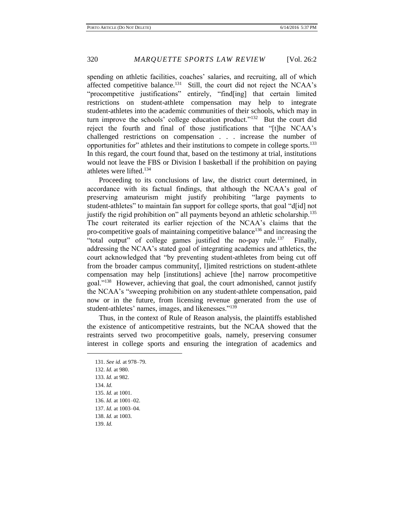spending on athletic facilities, coaches' salaries, and recruiting, all of which affected competitive balance.<sup>131</sup> Still, the court did not reject the NCAA's "procompetitive justifications" entirely, "find[ing] that certain limited restrictions on student-athlete compensation may help to integrate student-athletes into the academic communities of their schools, which may in turn improve the schools' college education product."<sup>132</sup> But the court did reject the fourth and final of those justifications that "[t]he NCAA's challenged restrictions on compensation . . . increase the number of opportunities for" athletes and their institutions to compete in college sports.<sup>133</sup> In this regard, the court found that, based on the testimony at trial, institutions would not leave the FBS or Division I basketball if the prohibition on paying athletes were lifted.<sup>134</sup>

Proceeding to its conclusions of law, the district court determined, in accordance with its factual findings, that although the NCAA's goal of preserving amateurism might justify prohibiting "large payments to student-athletes" to maintain fan support for college sports, that goal "d[id] not justify the rigid prohibition on" all payments beyond an athletic scholarship.<sup>135</sup> The court reiterated its earlier rejection of the NCAA's claims that the pro-competitive goals of maintaining competitive balance<sup>136</sup> and increasing the "total output" of college games justified the no-pay rule.<sup>137</sup> Finally, addressing the NCAA's stated goal of integrating academics and athletics, the court acknowledged that "by preventing student-athletes from being cut off from the broader campus community[, l]imited restrictions on student-athlete compensation may help [institutions] achieve [the] narrow procompetitive goal."<sup>138</sup> However, achieving that goal, the court admonished, cannot justify the NCAA's "sweeping prohibition on any student-athlete compensation, paid now or in the future, from licensing revenue generated from the use of student-athletes' names, images, and likenesses."<sup>139</sup>

Thus, in the context of Rule of Reason analysis, the plaintiffs established the existence of anticompetitive restraints, but the NCAA showed that the restraints served two procompetitive goals, namely, preserving consumer interest in college sports and ensuring the integration of academics and

131. *See id.* at 978–79. 132. *Id.* at 980. 133. *Id.* at 982. 134. *Id.* 135. *Id.* at 1001. 136. *Id.* at 1001–02. 137. *Id.* at 1003–04. 138. *Id.* at 1003. 139. *Id.*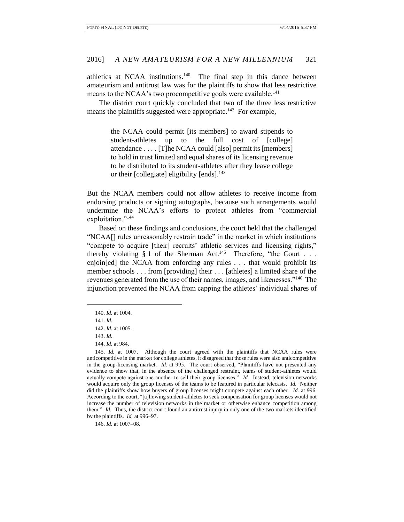athletics at NCAA institutions.<sup>140</sup> The final step in this dance between amateurism and antitrust law was for the plaintiffs to show that less restrictive means to the NCAA's two procompetitive goals were available.<sup>141</sup>

The district court quickly concluded that two of the three less restrictive means the plaintiffs suggested were appropriate.<sup>142</sup> For example,

> the NCAA could permit [its members] to award stipends to student-athletes up to the full cost of [college] attendance . . . . [T]he NCAA could [also] permit its [members] to hold in trust limited and equal shares of its licensing revenue to be distributed to its student-athletes after they leave college or their [collegiate] eligibility [ends]. $143$

But the NCAA members could not allow athletes to receive income from endorsing products or signing autographs, because such arrangements would undermine the NCAA's efforts to protect athletes from "commercial exploitation."<sup>144</sup>

Based on these findings and conclusions, the court held that the challenged "NCAA[] rules unreasonably restrain trade" in the market in which institutions "compete to acquire [their] recruits' athletic services and licensing rights," thereby violating § 1 of the Sherman Act.<sup>145</sup> Therefore, "the Court . . . enjoin[ed] the NCAA from enforcing any rules . . . that would prohibit its member schools . . . from [providing] their . . . [athletes] a limited share of the revenues generated from the use of their names, images, and likenesses."<sup>146</sup> The injunction prevented the NCAA from capping the athletes' individual shares of

 $\overline{a}$ 

146. *Id.* at 1007–08.

<sup>140.</sup> *Id.* at 1004.

<sup>141.</sup> *Id.*

<sup>142.</sup> *Id.* at 1005.

<sup>143.</sup> *Id.*

<sup>144.</sup> *Id.* at 984.

<sup>145.</sup> *Id.* at 1007. Although the court agreed with the plaintiffs that NCAA rules were anticompetitive in the market for college athletes, it disagreed that those rules were also anticompetitive in the group-licensing market. *Id.* at 995. The court observed, "Plaintiffs have not presented any evidence to show that, in the absence of the challenged restraint, teams of student-athletes would actually compete against one another to sell their group licenses." *Id.* Instead, television networks would acquire only the group licenses of the teams to be featured in particular telecasts. *Id.* Neither did the plaintiffs show how buyers of group licenses might compete against each other. *Id.* at 996. According to the court, "[a]llowing student-athletes to seek compensation for group licenses would not increase the number of television networks in the market or otherwise enhance competition among them." *Id.* Thus, the district court found an antitrust injury in only one of the two markets identified by the plaintiffs. *Id.* at 996–97.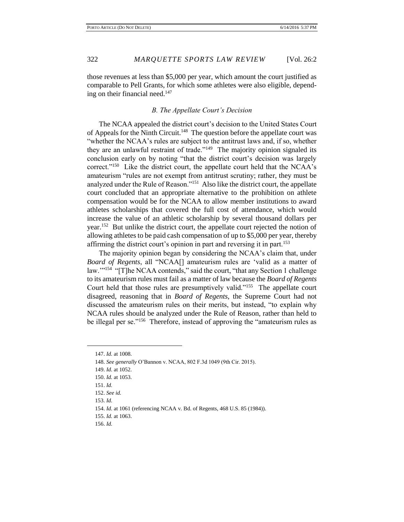those revenues at less than \$5,000 per year, which amount the court justified as comparable to Pell Grants, for which some athletes were also eligible, depending on their financial need.<sup>147</sup>

## *B. The Appellate Court's Decision*

The NCAA appealed the district court's decision to the United States Court of Appeals for the Ninth Circuit.<sup>148</sup> The question before the appellate court was "whether the NCAA's rules are subject to the antitrust laws and, if so, whether they are an unlawful restraint of trade."<sup>149</sup> The majority opinion signaled its conclusion early on by noting "that the district court's decision was largely correct."<sup>150</sup> Like the district court, the appellate court held that the NCAA's amateurism "rules are not exempt from antitrust scrutiny; rather, they must be analyzed under the Rule of Reason."<sup>151</sup> Also like the district court, the appellate court concluded that an appropriate alternative to the prohibition on athlete compensation would be for the NCAA to allow member institutions to award athletes scholarships that covered the full cost of attendance, which would increase the value of an athletic scholarship by several thousand dollars per year.<sup>152</sup> But unlike the district court, the appellate court rejected the notion of allowing athletes to be paid cash compensation of up to \$5,000 per year, thereby affirming the district court's opinion in part and reversing it in part.<sup>153</sup>

The majority opinion began by considering the NCAA's claim that, under *Board of Regents*, all "NCAA[] amateurism rules are 'valid as a matter of law."<sup>154</sup> "[T]he NCAA contends," said the court, "that any Section 1 challenge to its amateurism rules must fail as a matter of law because the *Board of Regents* Court held that those rules are presumptively valid."<sup>155</sup> The appellate court disagreed, reasoning that in *Board of Regents*, the Supreme Court had not discussed the amateurism rules on their merits, but instead, "to explain why NCAA rules should be analyzed under the Rule of Reason, rather than held to be illegal per se."<sup>156</sup> Therefore, instead of approving the "amateurism rules as

 $\overline{a}$ 

- 153. *Id.*
- 154. *Id.* at 1061 (referencing NCAA v. Bd. of Regents, 468 U.S. 85 (1984)).
- 155. *Id.* at 1063.

156. *Id.*

<sup>147.</sup> *Id.* at 1008.

<sup>148.</sup> *See generally* O'Bannon v. NCAA, 802 F.3d 1049 (9th Cir. 2015).

<sup>149.</sup> *Id.* at 1052.

<sup>150.</sup> *Id.* at 1053.

<sup>151.</sup> *Id.*

<sup>152.</sup> *See id.*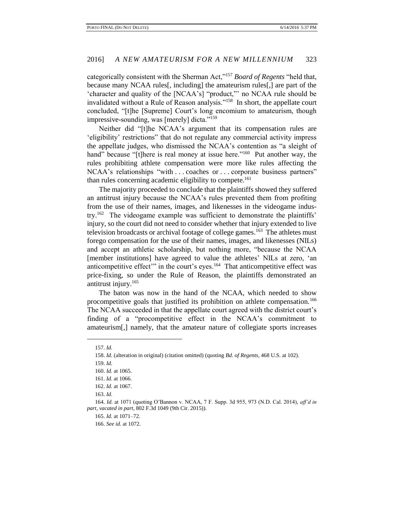categorically consistent with the Sherman Act,"<sup>157</sup> *Board of Regents* "held that, because many NCAA rules[, including] the amateurism rules[,] are part of the 'character and quality of the [NCAA's] "product,"' no NCAA rule should be invalidated without a Rule of Reason analysis."<sup>158</sup> In short, the appellate court concluded, "[t]he [Supreme] Court's long encomium to amateurism, though impressive-sounding, was [merely] dicta."<sup>159</sup>

Neither did "[t]he NCAA's argument that its compensation rules are 'eligibility' restrictions" that do not regulate any commercial activity impress the appellate judges, who dismissed the NCAA's contention as "a sleight of hand" because "[t]here is real money at issue here."<sup>160</sup> Put another way, the rules prohibiting athlete compensation were more like rules affecting the NCAA's relationships "with ... coaches or ... corporate business partners" than rules concerning academic eligibility to compete.<sup>161</sup>

The majority proceeded to conclude that the plaintiffs showed they suffered an antitrust injury because the NCAA's rules prevented them from profiting from the use of their names, images, and likenesses in the videogame industry.<sup>162</sup> The videogame example was sufficient to demonstrate the plaintiffs' injury, so the court did not need to consider whether that injury extended to live television broadcasts or archival footage of college games.<sup>163</sup> The athletes must forego compensation for the use of their names, images, and likenesses (NILs) and accept an athletic scholarship, but nothing more, "because the NCAA [member institutions] have agreed to value the athletes' NILs at zero, 'an anticompetitive effect" in the court's eyes.<sup>164</sup> That anticompetitive effect was price-fixing, so under the Rule of Reason, the plaintiffs demonstrated an antitrust injury.<sup>165</sup>

The baton was now in the hand of the NCAA, which needed to show procompetitive goals that justified its prohibition on athlete compensation.<sup>166</sup> The NCAA succeeded in that the appellate court agreed with the district court's finding of a "procompetitive effect in the NCAA's commitment to amateurism[,] namely, that the amateur nature of collegiate sports increases

<sup>157.</sup> *Id.*

<sup>158.</sup> *Id.* (alteration in original) (citation omitted) (quoting *Bd. of Regents*, 468 U.S. at 102).

<sup>159.</sup> *Id.*

<sup>160.</sup> *Id.* at 1065.

<sup>161.</sup> *Id.* at 1066.

<sup>162.</sup> *Id.* at 1067.

<sup>163.</sup> *Id.*

<sup>164.</sup> *Id.* at 1071 (quoting O'Bannon v. NCAA, 7 F. Supp. 3d 955, 973 (N.D. Cal. 2014), *aff'd in part, vacated in part*, 802 F.3d 1049 (9th Cir. 2015)).

<sup>165.</sup> *Id.* at 1071–72.

<sup>166.</sup> *See id.* at 1072.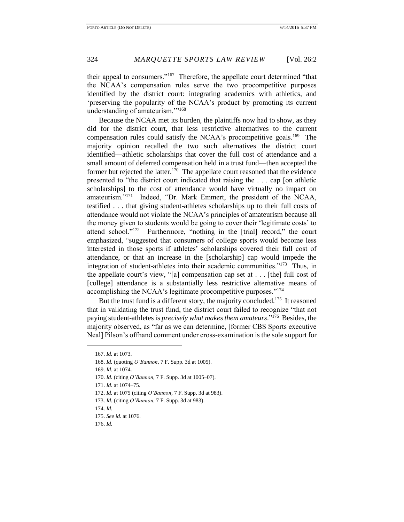their appeal to consumers."<sup>167</sup> Therefore, the appellate court determined "that the NCAA's compensation rules serve the two procompetitive purposes identified by the district court: integrating academics with athletics, and 'preserving the popularity of the NCAA's product by promoting its current understanding of amateurism."<sup>168</sup>

Because the NCAA met its burden, the plaintiffs now had to show, as they did for the district court, that less restrictive alternatives to the current compensation rules could satisfy the NCAA's procompetitive goals.<sup>169</sup> The majority opinion recalled the two such alternatives the district court identified—athletic scholarships that cover the full cost of attendance and a small amount of deferred compensation held in a trust fund—then accepted the former but rejected the latter.<sup>170</sup> The appellate court reasoned that the evidence presented to "the district court indicated that raising the . . . cap [on athletic scholarships] to the cost of attendance would have virtually no impact on amateurism."<sup>171</sup> Indeed, "Dr. Mark Emmert, the president of the NCAA, testified . . . that giving student-athletes scholarships up to their full costs of attendance would not violate the NCAA's principles of amateurism because all the money given to students would be going to cover their 'legitimate costs' to attend school."<sup>172</sup> Furthermore, "nothing in the [trial] record," the court emphasized, "suggested that consumers of college sports would become less interested in those sports if athletes' scholarships covered their full cost of attendance, or that an increase in the [scholarship] cap would impede the integration of student-athletes into their academic communities."<sup>173</sup> Thus, in the appellate court's view, "[a] compensation cap set at . . . [the] full cost of [college] attendance is a substantially less restrictive alternative means of accomplishing the NCAA's legitimate procompetitive purposes."<sup>174</sup>

But the trust fund is a different story, the majority concluded.<sup>175</sup> It reasoned that in validating the trust fund, the district court failed to recognize "that not paying student-athletes is *precisely what makes them amateurs*."<sup>176</sup> Besides, the majority observed, as "far as we can determine, [former CBS Sports executive Neal] Pilson's offhand comment under cross-examination is the sole support for

<sup>167.</sup> *Id.* at 1073.

<sup>168.</sup> *Id.* (quoting *O'Bannon*, 7 F. Supp. 3d at 1005).

<sup>169.</sup> *Id.* at 1074.

<sup>170.</sup> *Id.* (citing *O'Bannon*, 7 F. Supp. 3d at 1005–07).

<sup>171.</sup> *Id.* at 1074–75.

<sup>172.</sup> *Id.* at 1075 (citing *O'Bannon*, 7 F. Supp. 3d at 983).

<sup>173.</sup> *Id.* (citing *O'Bannon*, 7 F. Supp. 3d at 983).

<sup>174.</sup> *Id.*

<sup>175.</sup> *See id.* at 1076.

<sup>176.</sup> *Id.*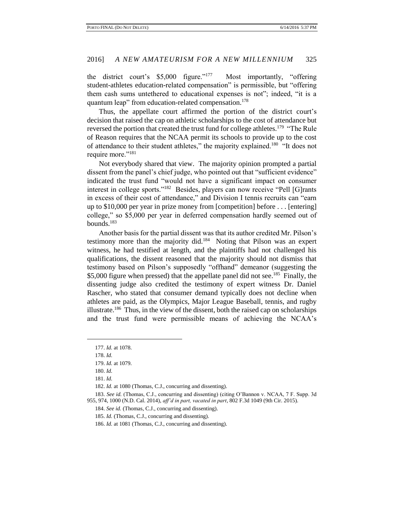the district court's \$5,000 figure."<sup>177</sup> Most importantly, "offering student-athletes education-related compensation" is permissible, but "offering them cash sums untethered to educational expenses is not"; indeed, "it is a quantum leap" from education-related compensation.<sup>178</sup>

Thus, the appellate court affirmed the portion of the district court's decision that raised the cap on athletic scholarships to the cost of attendance but reversed the portion that created the trust fund for college athletes.<sup>179</sup> "The Rule of Reason requires that the NCAA permit its schools to provide up to the cost of attendance to their student athletes," the majority explained.<sup>180</sup> "It does not require more."<sup>181</sup>

Not everybody shared that view. The majority opinion prompted a partial dissent from the panel's chief judge, who pointed out that "sufficient evidence" indicated the trust fund "would not have a significant impact on consumer interest in college sports."<sup>182</sup> Besides, players can now receive "Pell [G]rants in excess of their cost of attendance," and Division I tennis recruits can "earn up to \$10,000 per year in prize money from [competition] before . . . [entering] college," so \$5,000 per year in deferred compensation hardly seemed out of bounds.<sup>183</sup>

Another basis for the partial dissent was that its author credited Mr. Pilson's testimony more than the majority did.<sup>184</sup> Noting that Pilson was an expert witness, he had testified at length, and the plaintiffs had not challenged his qualifications, the dissent reasoned that the majority should not dismiss that testimony based on Pilson's supposedly "offhand" demeanor (suggesting the \$5,000 figure when pressed) that the appellate panel did not see.<sup>185</sup> Finally, the dissenting judge also credited the testimony of expert witness Dr. Daniel Rascher, who stated that consumer demand typically does not decline when athletes are paid, as the Olympics, Major League Baseball, tennis, and rugby illustrate.<sup>186</sup> Thus, in the view of the dissent, both the raised cap on scholarships and the trust fund were permissible means of achieving the NCAA's

<sup>177.</sup> *Id.* at 1078.

<sup>178.</sup> *Id.*

<sup>179.</sup> *Id.* at 1079.

<sup>180.</sup> *Id.* 

<sup>181.</sup> *Id.*

<sup>182.</sup> *Id.* at 1080 (Thomas, C.J., concurring and dissenting).

<sup>183.</sup> *See id.* (Thomas, C.J., concurring and dissenting) (citing O'Bannon v. NCAA, 7 F. Supp. 3d 955, 974, 1000 (N.D. Cal. 2014), *aff'd in part, vacated in part*, 802 F.3d 1049 (9th Cir. 2015).

<sup>184.</sup> *See id.* (Thomas, C.J., concurring and dissenting).

<sup>185.</sup> *Id.* (Thomas, C.J., concurring and dissenting).

<sup>186.</sup> *Id.* at 1081 (Thomas, C.J., concurring and dissenting).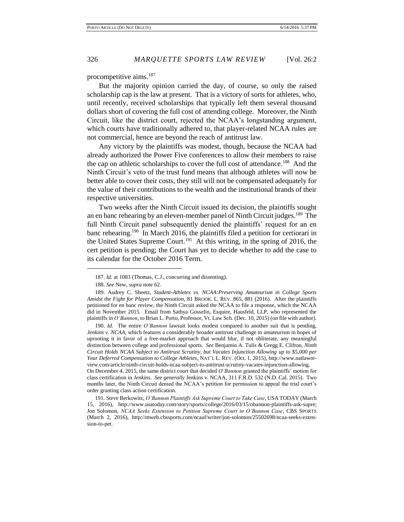procompetitive aims.<sup>187</sup>

But the majority opinion carried the day, of course, so only the raised scholarship cap is the law at present. That is a victory of sorts for athletes, who, until recently, received scholarships that typically left them several thousand dollars short of covering the full cost of attending college. Moreover, the Ninth Circuit, like the district court, rejected the NCAA's longstanding argument, which courts have traditionally adhered to, that player-related NCAA rules are not commercial, hence are beyond the reach of antitrust law.

Any victory by the plaintiffs was modest, though, because the NCAA had already authorized the Power Five conferences to allow their members to raise the cap on athletic scholarships to cover the full cost of attendance.<sup>188</sup> And the Ninth Circuit's veto of the trust fund means that although athletes will now be better able to cover their costs, they still will not be compensated adequately for the value of their contributions to the wealth and the institutional brands of their respective universities.

Two weeks after the Ninth Circuit issued its decision, the plaintiffs sought an en banc rehearing by an eleven-member panel of Ninth Circuit judges.<sup>189</sup> The full Ninth Circuit panel subsequently denied the plaintiffs' request for an en banc rehearing.<sup>190</sup> In March 2016, the plaintiffs filed a petition for certiorari in the United States Supreme Court.<sup>191</sup> At this writing, in the spring of 2016, the cert petition is pending; the Court has yet to decide whether to add the case to its calendar for the October 2016 Term.

 $\overline{a}$ 

190. *Id.* The entire *O'Bannon* lawsuit looks modest compared to another suit that is pending, *Jenkins v. NCAA*, which features a considerably broader antitrust challenge to amateurism in hopes of uprooting it in favor of a free-market approach that would blur, if not obliterate, any meaningful distinction between college and professional sports. *See* Benjamin A. Tulis & Gregg E. Clifton, *Ninth Circuit Holds NCAA Subject to Antitrust Scrutiny, but Vacates Injunction Allowing up to \$5,000 per Year Deferred Compensation to College Athletes*, NAT'L L. REV. (Oct. 1, 2015), http://www.natlawreview.com/article/ninth-circuit-holds-ncaa-subject-to-antitrust-scrutiny-vacates-injunction-allowing. On December 4, 2015, the same district court that decided *O'Bannon* granted the plaintiffs' motion for class certification in *Jenkins*. *See generally* Jenkins v. NCAA, 311 F.R.D. 532 (N.D. Cal. 2015). Two months later, the Ninth Circuit denied the NCAA's petition for permission to appeal the trial court's order granting class action certification.

191. Steve Berkowitz, *O'Bannon Plaintiffs Ask Supreme Court to Take Case*, USA TODAY (March 15, 2016), http://www.usatoday.com/story/sports/college/2016/03/15/obannon-plaintiffs-ask-supre; Jon Solomon, *NCAA Seeks Extension to Petition Supreme Court in O'Bannon Case*, CBS SPORTS (March 2, 2016), http://mweb.cbssports.com/ncaaf/writer/jon-solomon/25502698/ncaa-seeks-extension-to-pet.

<sup>187.</sup> *Id.* at 1083 (Thomas, C.J., concurring and dissenting).

<sup>188.</sup> *See* New, *supra* note 62.

<sup>189.</sup> Audrey C. Sheetz, *Student-Athletes vs. NCAA:Preserving Amateurism in College Sports Amidst the Fight for Player Compensation*, 81 BROOK. L. REV. 865, 881 (2016). After the plaintiffs petitioned for en banc review, the Ninth Circuit asked the NCAA to file a response, which the NCAA did in November 2015. Email from Sathya Gosselin, Esquire, Hausfeld, LLP, who represented the plaintiffs in *O'Bannon*, to Brian L. Porto, Professor, Vt. Law Sch. (Dec. 10, 2015) (on file with author).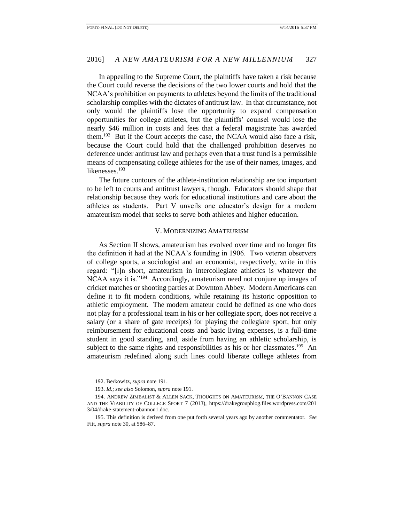In appealing to the Supreme Court, the plaintiffs have taken a risk because the Court could reverse the decisions of the two lower courts and hold that the NCAA's prohibition on payments to athletes beyond the limits of the traditional scholarship complies with the dictates of antitrust law. In that circumstance, not only would the plaintiffs lose the opportunity to expand compensation opportunities for college athletes, but the plaintiffs' counsel would lose the nearly \$46 million in costs and fees that a federal magistrate has awarded them.<sup>192</sup> But if the Court accepts the case, the NCAA would also face a risk, because the Court could hold that the challenged prohibition deserves no deference under antitrust law and perhaps even that a trust fund is a permissible means of compensating college athletes for the use of their names, images, and likenesses.<sup>193</sup>

The future contours of the athlete-institution relationship are too important to be left to courts and antitrust lawyers, though. Educators should shape that relationship because they work for educational institutions and care about the athletes as students. Part V unveils one educator's design for a modern amateurism model that seeks to serve both athletes and higher education.

#### V. MODERNIZING AMATEURISM

As Section II shows, amateurism has evolved over time and no longer fits the definition it had at the NCAA's founding in 1906. Two veteran observers of college sports, a sociologist and an economist, respectively, write in this regard: "[i]n short, amateurism in intercollegiate athletics is whatever the NCAA says it is."<sup>194</sup> Accordingly, amateurism need not conjure up images of cricket matches or shooting parties at Downton Abbey. Modern Americans can define it to fit modern conditions, while retaining its historic opposition to athletic employment. The modern amateur could be defined as one who does not play for a professional team in his or her collegiate sport, does not receive a salary (or a share of gate receipts) for playing the collegiate sport, but only reimbursement for educational costs and basic living expenses, is a full-time student in good standing, and, aside from having an athletic scholarship, is subject to the same rights and responsibilities as his or her classmates.<sup>195</sup> An amateurism redefined along such lines could liberate college athletes from

<sup>192.</sup> Berkowitz, *supra* note 191.

<sup>193.</sup> *Id.*; *see also* Solomon, *supra* note 191.

<sup>194.</sup> ANDREW ZIMBALIST & ALLEN SACK, THOUGHTS ON AMATEURISM, THE O'BANNON CASE AND THE VIABILITY OF COLLEGE SPORT 7 (2013), https://drakegroupblog.files.wordpress.com/201 3/04/drake-statement-obannon1.doc.

<sup>195.</sup> This definition is derived from one put forth several years ago by another commentator. *See* Fitt*, supra* note 30, at 586–87.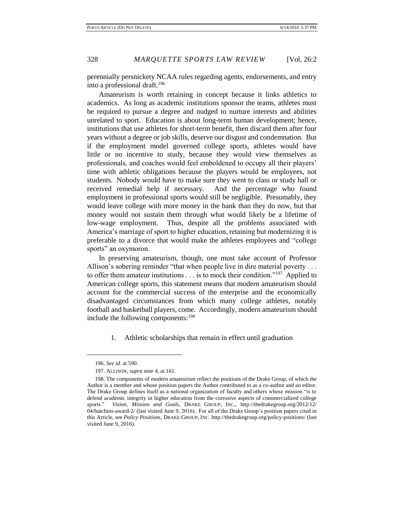perennially persnickety NCAA rules regarding agents, endorsements, and entry into a professional draft.<sup>196</sup>

Amateurism is worth retaining in concept because it links athletics to academics. As long as academic institutions sponsor the teams, athletes must be required to pursue a degree and nudged to nurture interests and abilities unrelated to sport. Education is about long-term human development; hence, institutions that use athletes for short-term benefit, then discard them after four years without a degree or job skills, deserve our disgust and condemnation. But if the employment model governed college sports, athletes would have little or no incentive to study, because they would view themselves as professionals, and coaches would feel emboldened to occupy all their players' time with athletic obligations because the players would be employees, not students. Nobody would have to make sure they went to class or study hall or received remedial help if necessary. And the percentage who found employment in professional sports would still be negligible. Presumably, they would leave college with more money in the bank than they do now, but that money would not sustain them through what would likely be a lifetime of low-wage employment. Thus, despite all the problems associated with America's marriage of sport to higher education, retaining but modernizing it is preferable to a divorce that would make the athletes employees and "college sports" an oxymoron.

In preserving amateurism, though, one must take account of Professor Allison's sobering reminder "that when people live in dire material poverty . . . to offer them amateur institutions . . . is to mock their condition."<sup>197</sup> Applied to American college sports, this statement means that modern amateurism should account for the commercial success of the enterprise and the economically disadvantaged circumstances from which many college athletes, notably football and basketball players, come. Accordingly, modern amateurism should include the following components: $198$ 

1. Athletic scholarships that remain in effect until graduation

<sup>196.</sup> *See id.* at 590.

<sup>197.</sup> ALLISON, *supra* note 4, at 161.

<sup>198.</sup> The components of modern amateurism reflect the positions of the Drake Group, of which the Author is a member and whose position papers the Author contributed to as a co-author and an editor. The Drake Group defines itself as a national organization of faculty and others whose mission "is to defend academic integrity in higher education from the corrosive aspects of commercialized college sports." *Vision, Mission and Goals*, DRAKE GROUP, INC., http://thedrakegroup.org/2012/12/ 04/hutchins-award-2/ (last visited June 9, 2016). For all of the Drake Group's position papers cited in this Article, see *Policy Positions*, DRAKE GROUP, INC. http://thedrakegroup.org/policy-positions/ (last visited June 9, 2016).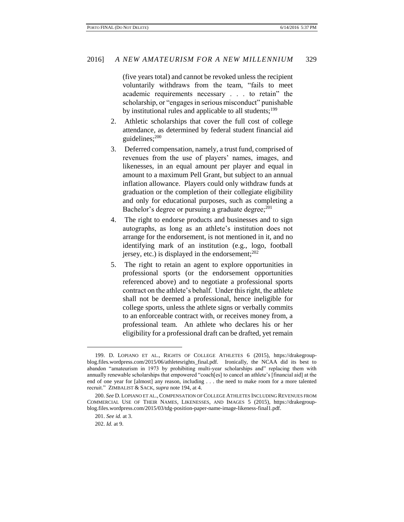(five years total) and cannot be revoked unless the recipient voluntarily withdraws from the team, "fails to meet academic requirements necessary . . . to retain" the scholarship, or "engages in serious misconduct" punishable by institutional rules and applicable to all students;<sup>199</sup>

- 2. Athletic scholarships that cover the full cost of college attendance, as determined by federal student financial aid guidelines; $200$
- 3. Deferred compensation, namely, a trust fund, comprised of revenues from the use of players' names, images, and likenesses, in an equal amount per player and equal in amount to a maximum Pell Grant, but subject to an annual inflation allowance. Players could only withdraw funds at graduation or the completion of their collegiate eligibility and only for educational purposes, such as completing a Bachelor's degree or pursuing a graduate degree; $^{201}$
- 4. The right to endorse products and businesses and to sign autographs, as long as an athlete's institution does not arrange for the endorsement, is not mentioned in it, and no identifying mark of an institution (e.g., logo, football jersey, etc.) is displayed in the endorsement; $^{202}$
- 5. The right to retain an agent to explore opportunities in professional sports (or the endorsement opportunities referenced above) and to negotiate a professional sports contract on the athlete's behalf. Under this right, the athlete shall not be deemed a professional, hence ineligible for college sports, unless the athlete signs or verbally commits to an enforceable contract with, or receives money from, a professional team. An athlete who declares his or her eligibility for a professional draft can be drafted, yet remain

<sup>199.</sup> D. LOPIANO ET AL., RIGHTS OF COLLEGE ATHLETES 6 (2015), https://drakegroupblog.files.wordpress.com/2015/06/athletesrights\_final.pdf. Ironically, the NCAA did its best to abandon "amateurism in 1973 by prohibiting multi-year scholarships and" replacing them with annually renewable scholarships that empowered "coach[es] to cancel an athlete's [financial aid] at the end of one year for [almost] any reason, including . . . the need to make room for a more talented recruit." ZIMBALIST & SACK, *supra* note 194, at 4.

<sup>200.</sup> *See* D. LOPIANO ET AL.,COMPENSATION OF COLLEGE ATHLETES INCLUDING REVENUES FROM COMMERCIAL USE OF THEIR NAMES, LIKENESSES, AND IMAGES 5 (2015), https://drakegroupblog.files.wordpress.com/2015/03/tdg-position-paper-name-image-likeness-final1.pdf.

<sup>201.</sup> *See id.* at 3.

<sup>202.</sup> *Id.* at 9.